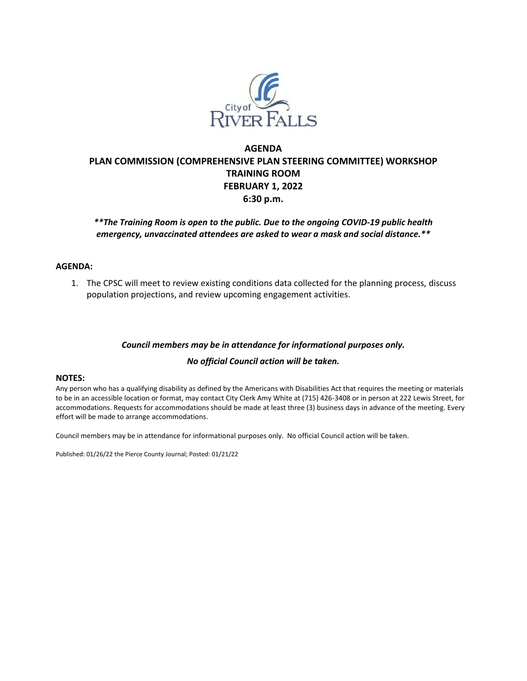

## **AGENDA PLAN COMMISSION (COMPREHENSIVE PLAN STEERING COMMITTEE) WORKSHOP TRAINING ROOM FEBRUARY 1, 2022 6:30 p.m.**

#### *\*\*The Training Room is open to the public. Due to the ongoing COVID-19 public health emergency, unvaccinated attendees are asked to wear a mask and social distance.\*\**

#### **AGENDA:**

1. The CPSC will meet to review existing conditions data collected for the planning process, discuss population projections, and review upcoming engagement activities.

#### *Council members may be in attendance for informational purposes only.*

#### *No official Council action will be taken.*

#### **NOTES:**

Any person who has a qualifying disability as defined by the Americans with Disabilities Act that requires the meeting or materials to be in an accessible location or format, may contact City Clerk Amy White at (715) 426-3408 or in person at 222 Lewis Street, for accommodations. Requests for accommodations should be made at least three (3) business days in advance of the meeting. Every effort will be made to arrange accommodations.

Council members may be in attendance for informational purposes only. No official Council action will be taken.

Published: 01/26/22 the Pierce County Journal; Posted: 01/21/22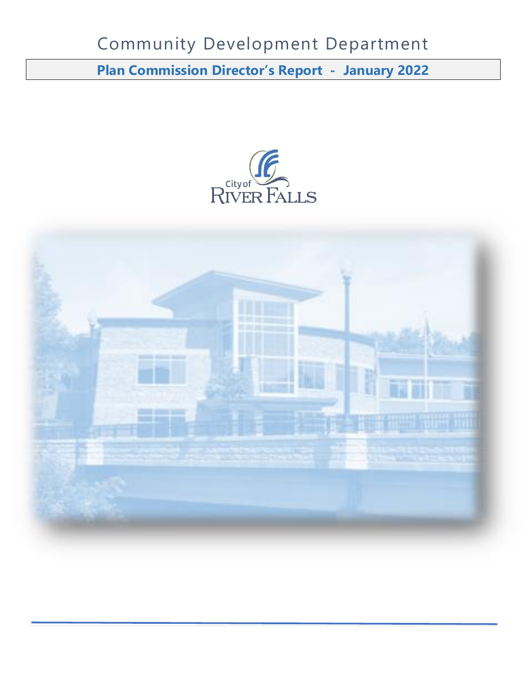# Community Development Department

**Plan Commission Director's Report - January 2022**



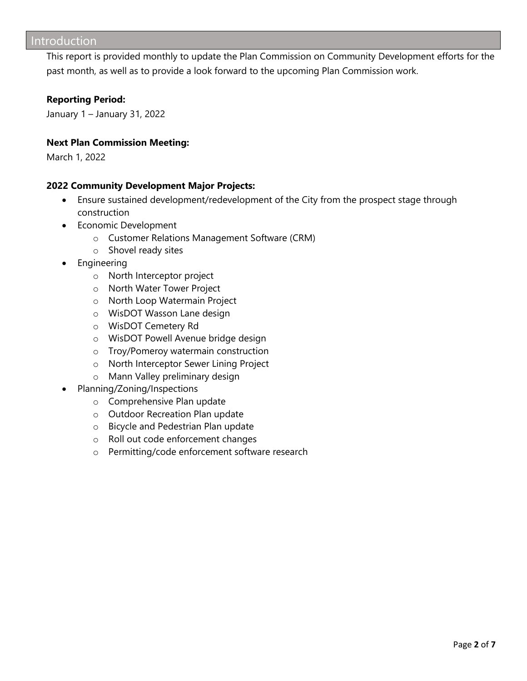# Introduction

This report is provided monthly to update the Plan Commission on Community Development efforts for the past month, as well as to provide a look forward to the upcoming Plan Commission work.

### **Reporting Period:**

January 1 – January 31, 2022

#### **Next Plan Commission Meeting:**

March 1, 2022

#### **2022 Community Development Major Projects:**

- Ensure sustained development/redevelopment of the City from the prospect stage through construction
- Economic Development
	- o Customer Relations Management Software (CRM)
	- o Shovel ready sites
- Engineering
	- o North Interceptor project
	- o North Water Tower Project
	- o North Loop Watermain Project
	- o WisDOT Wasson Lane design
	- o WisDOT Cemetery Rd
	- o WisDOT Powell Avenue bridge design
	- o Troy/Pomeroy watermain construction
	- o North Interceptor Sewer Lining Project
	- o Mann Valley preliminary design
- Planning/Zoning/Inspections
	- o Comprehensive Plan update
	- o Outdoor Recreation Plan update
	- o Bicycle and Pedestrian Plan update
	- o Roll out code enforcement changes
	- o Permitting/code enforcement software research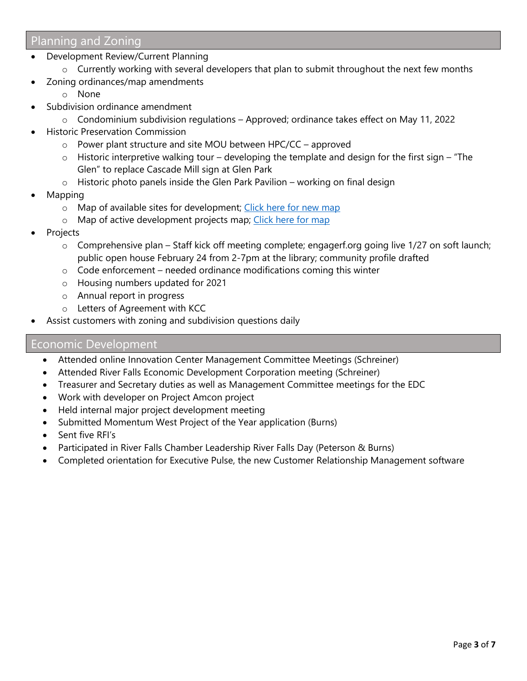# Planning and Zoning

- Development Review/Current Planning
	- o Currently working with several developers that plan to submit throughout the next few months
- Zoning ordinances/map amendments

o None

- Subdivision ordinance amendment
	- o Condominium subdivision regulations Approved; ordinance takes effect on May 11, 2022
- Historic Preservation Commission
	- o Power plant structure and site MOU between HPC/CC approved
	- $\circ$  Historic interpretive walking tour developing the template and design for the first sign "The Glen" to replace Cascade Mill sign at Glen Park
	- o Historic photo panels inside the Glen Park Pavilion working on final design
- Mapping
	- o Map of available sites for development; [Click here for new map](https://rfcity.maps.arcgis.com/apps/MapJournal/index.html?appid=81339db7c99646d0b4a05a30639cf83a)
	- o Map of active development projects map; [Click here for map](https://rfcity.maps.arcgis.com/apps/MapJournal/index.html?appid=60e45bf2ef9d4311a7dfc5cd3142d777)
- **Projects** 
	- $\circ$  Comprehensive plan Staff kick off meeting complete; engagerf.org going live 1/27 on soft launch; public open house February 24 from 2-7pm at the library; community profile drafted
	- $\circ$  Code enforcement needed ordinance modifications coming this winter
	- o Housing numbers updated for 2021
	- o Annual report in progress
	- o Letters of Agreement with KCC
- Assist customers with zoning and subdivision questions daily

# Economic Development

- Attended online Innovation Center Management Committee Meetings (Schreiner)
- Attended River Falls Economic Development Corporation meeting (Schreiner)
- Treasurer and Secretary duties as well as Management Committee meetings for the EDC
- Work with developer on Project Amcon project
- Held internal major project development meeting
- Submitted Momentum West Project of the Year application (Burns)
- Sent five RFI's
- Participated in River Falls Chamber Leadership River Falls Day (Peterson & Burns)
- Completed orientation for Executive Pulse, the new Customer Relationship Management software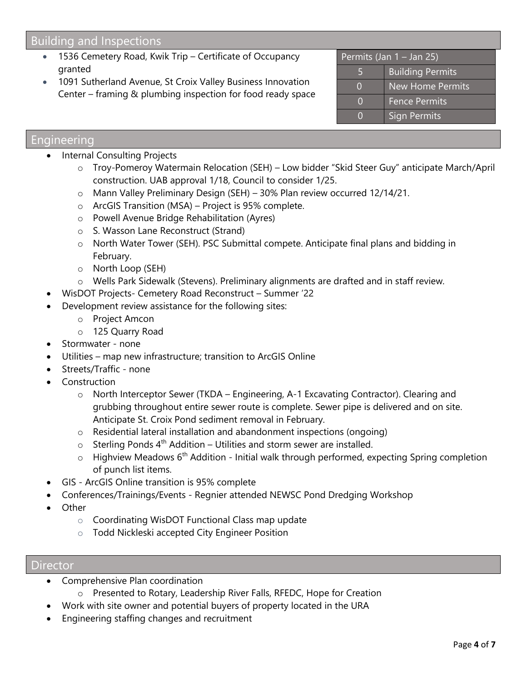# Building and Inspections

- 1536 Cemetery Road, Kwik Trip Certificate of Occupancy granted
- 1091 Sutherland Avenue, St Croix Valley Business Innovation Center – framing & plumbing inspection for food ready space

| Permits (Jan 1 – Jan 25) |                         |
|--------------------------|-------------------------|
|                          | <b>Building Permits</b> |
|                          | New Home Permits        |
|                          | <b>Fence Permits</b>    |
|                          | <b>Sign Permits</b>     |
|                          |                         |

# Engineering

- Internal Consulting Projects
	- o Troy-Pomeroy Watermain Relocation (SEH) Low bidder "Skid Steer Guy" anticipate March/April construction. UAB approval 1/18, Council to consider 1/25.
	- o Mann Valley Preliminary Design (SEH) 30% Plan review occurred 12/14/21.
	- o ArcGIS Transition (MSA) Project is 95% complete.
	- o Powell Avenue Bridge Rehabilitation (Ayres)
	- o S. Wasson Lane Reconstruct (Strand)
	- o North Water Tower (SEH). PSC Submittal compete. Anticipate final plans and bidding in February.
	- o North Loop (SEH)
	- o Wells Park Sidewalk (Stevens). Preliminary alignments are drafted and in staff review.
	- WisDOT Projects- Cemetery Road Reconstruct Summer '22
- Development review assistance for the following sites:
	- o Project Amcon
	- o 125 Quarry Road
- Stormwater none
- Utilities map new infrastructure; transition to ArcGIS Online
- Streets/Traffic none
- Construction
	- o North Interceptor Sewer (TKDA Engineering, A-1 Excavating Contractor). Clearing and grubbing throughout entire sewer route is complete. Sewer pipe is delivered and on site. Anticipate St. Croix Pond sediment removal in February.
	- o Residential lateral installation and abandonment inspections (ongoing)
	- $\circ$  Sterling Ponds 4<sup>th</sup> Addition Utilities and storm sewer are installed.
	- $\circ$  Highview Meadows 6<sup>th</sup> Addition Initial walk through performed, expecting Spring completion of punch list items.
- GIS ArcGIS Online transition is 95% complete
- Conferences/Trainings/Events Regnier attended NEWSC Pond Dredging Workshop
- Other
	- o Coordinating WisDOT Functional Class map update
	- o Todd Nickleski accepted City Engineer Position

# Director

- Comprehensive Plan coordination
	- o Presented to Rotary, Leadership River Falls, RFEDC, Hope for Creation
	- Work with site owner and potential buyers of property located in the URA
- Engineering staffing changes and recruitment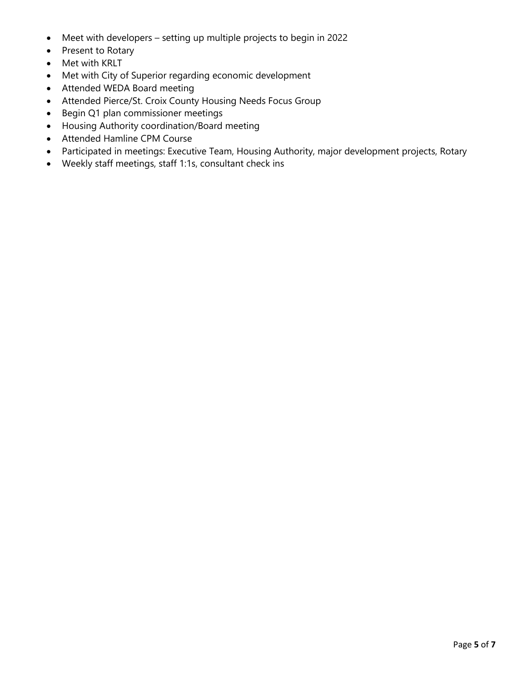- Meet with developers setting up multiple projects to begin in 2022
- Present to Rotary
- Met with KRLT
- Met with City of Superior regarding economic development
- Attended WEDA Board meeting
- Attended Pierce/St. Croix County Housing Needs Focus Group
- Begin Q1 plan commissioner meetings
- Housing Authority coordination/Board meeting
- Attended Hamline CPM Course
- Participated in meetings: Executive Team, Housing Authority, major development projects, Rotary
- Weekly staff meetings, staff 1:1s, consultant check ins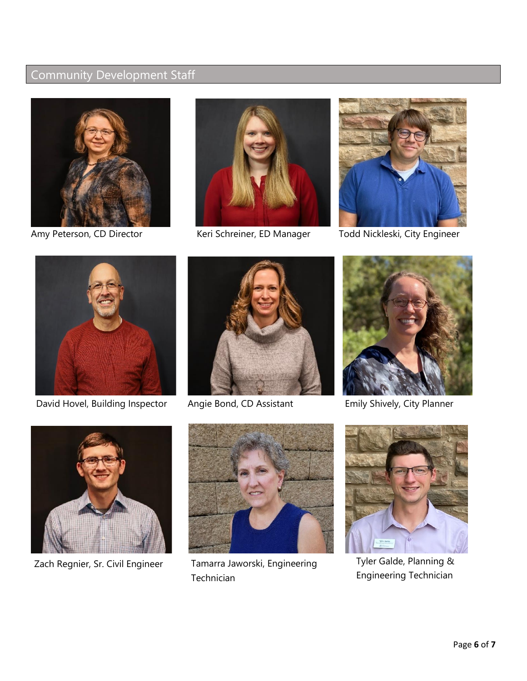# Community Development Staff







Amy Peterson, CD Director Keri Schreiner, ED Manager Todd Nickleski, City Engineer



David Hovel, Building Inspector Angie Bond, CD Assistant Emily Shively, City Planner







Zach Regnier, Sr. Civil Engineer Tamarra Jaworski, Engineering



Technician



Tyler Galde, Planning & Engineering Technician